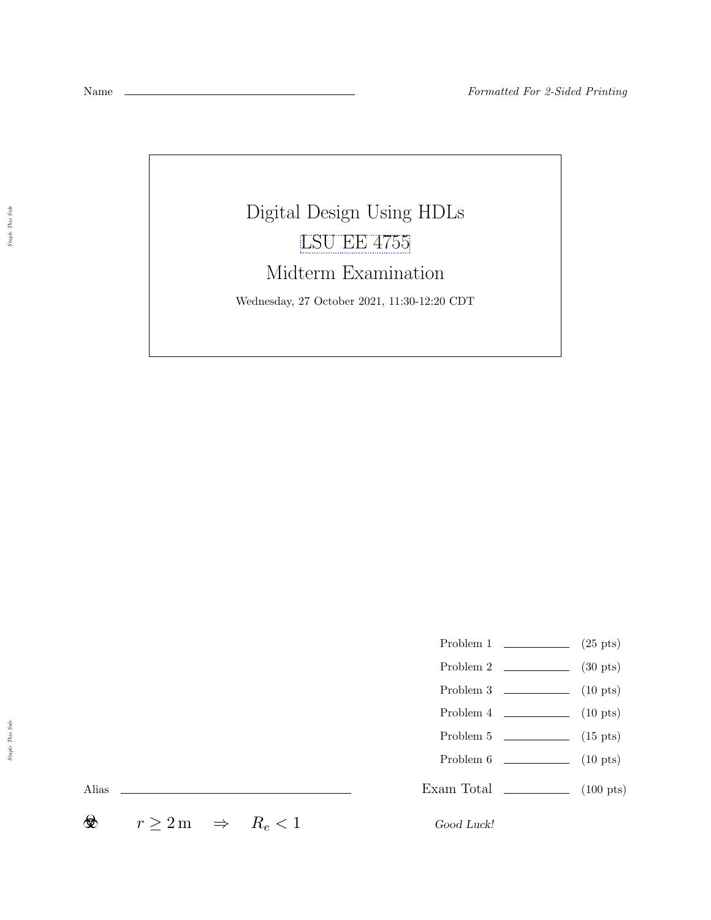Digital Design Using HDLs [LSU EE 4755](https://www.ece.lsu.edu/koppel/v/) Midterm Examination Wednesday, 27 October 2021, 11:30-12:20 CDT

- Problem 1  $\qquad \qquad$  (25 pts)
- Problem 2  $\qquad \qquad$  (30 pts)
- Problem  $3 \t\t(10 \text{ pts})$
- Problem  $4 \t\t(10 \text{ pts})$
- Problem 5  $\qquad \qquad$  (15 pts)
- Problem 6 (10 pts)
- Exam Total \_\_\_\_\_\_\_\_\_\_\_\_\_\_ (100 pts)

Alias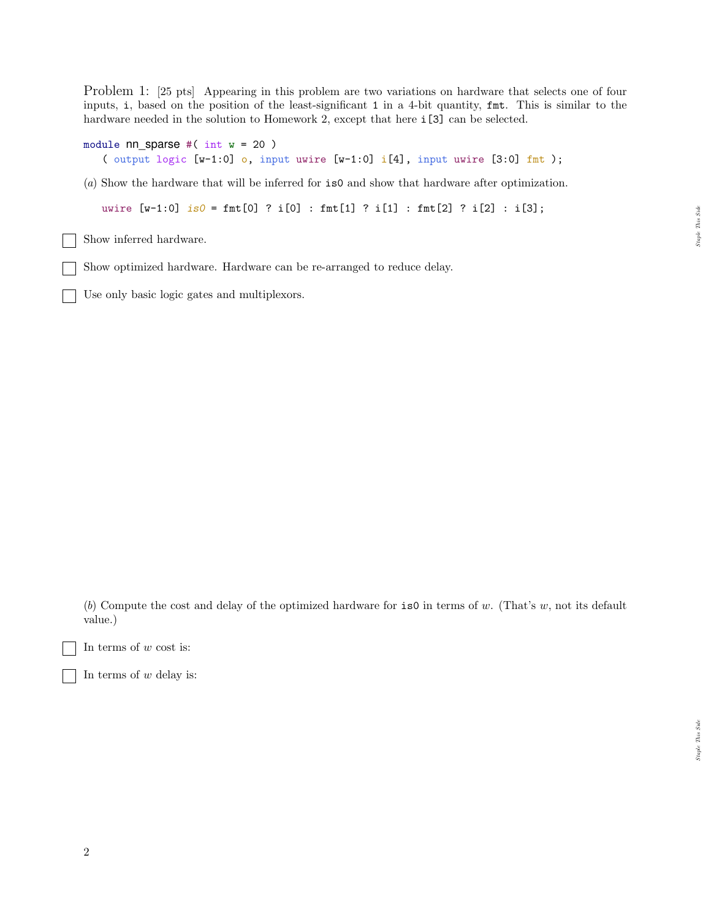Problem 1: [25 pts] Appearing in this problem are two variations on hardware that selects one of four inputs, i, based on the position of the least-significant 1 in a 4-bit quantity, fmt. This is similar to the hardware needed in the solution to Homework 2, except that here  $i[3]$  can be selected.

```
module nn sparse #( int w = 20 )
   ( output logic [w-1:0] o, input uwire [w-1:0] i[4], input uwire [3:0] fmt );
```
(a) Show the hardware that will be inferred for is0 and show that hardware after optimization.

uwire  $[w-1:0]$  is  $0 = \text{fmt}[0]$  ? i $[0]$  :  $\text{fmt}[1]$  ? i $[1]$  :  $\text{fmt}[2]$  ? i $[2]$  : i $[3]$ ;

Show inferred hardware.

Show optimized hardware. Hardware can be re-arranged to reduce delay.

Use only basic logic gates and multiplexors.

(b) Compute the cost and delay of the optimized hardware for  $\mathbf{is}0$  in terms of w. (That's w, not its default value.)

In terms of  $w$  cost is:

In terms of  $w$  delay is:

Staple This Side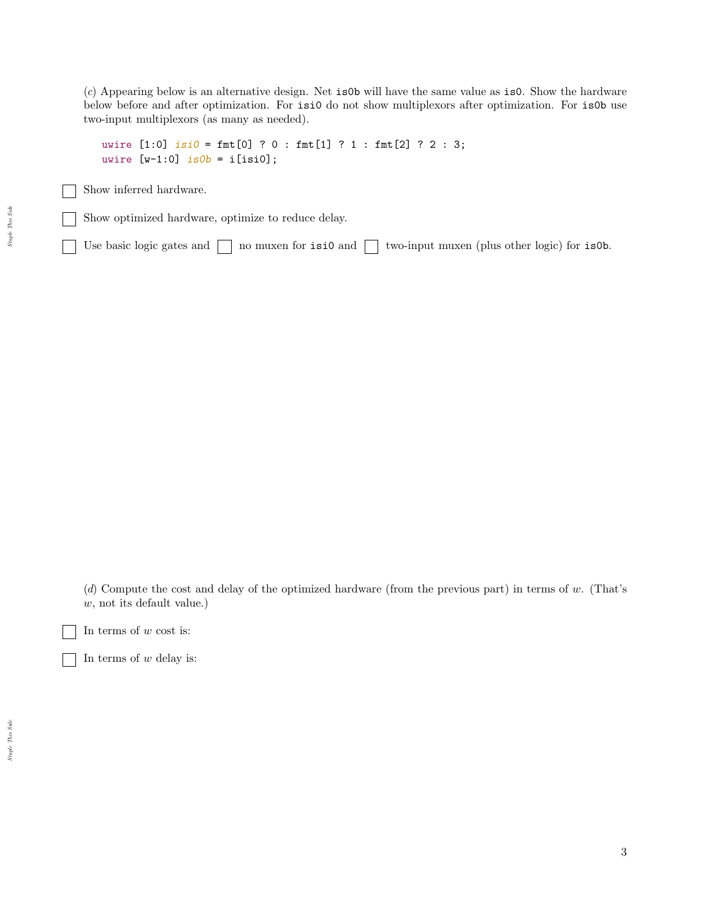(c) Appearing below is an alternative design. Net is0b will have the same value as is0. Show the hardware below before and after optimization. For isi0 do not show multiplexors after optimization. For is0b use two-input multiplexors (as many as needed).

```
uwire [1:0] isi0 = \text{fmt}[0] ? 0 : \text{fmt}[1] ? 1 : \text{fmt}[2] ? 2 : 3;
uwire [v-1:0] is 0b = i[isi0];
```
Show inferred hardware.

Show optimized hardware, optimize to reduce delay.

Use basic logic gates and  $\Box$  no muxen for isi0 and  $\Box$  two-input muxen (plus other logic) for is0b.

(d) Compute the cost and delay of the optimized hardware (from the previous part) in terms of w. (That's w, not its default value.)

In terms of  $w$  cost is:

In terms of  $w$  delay is: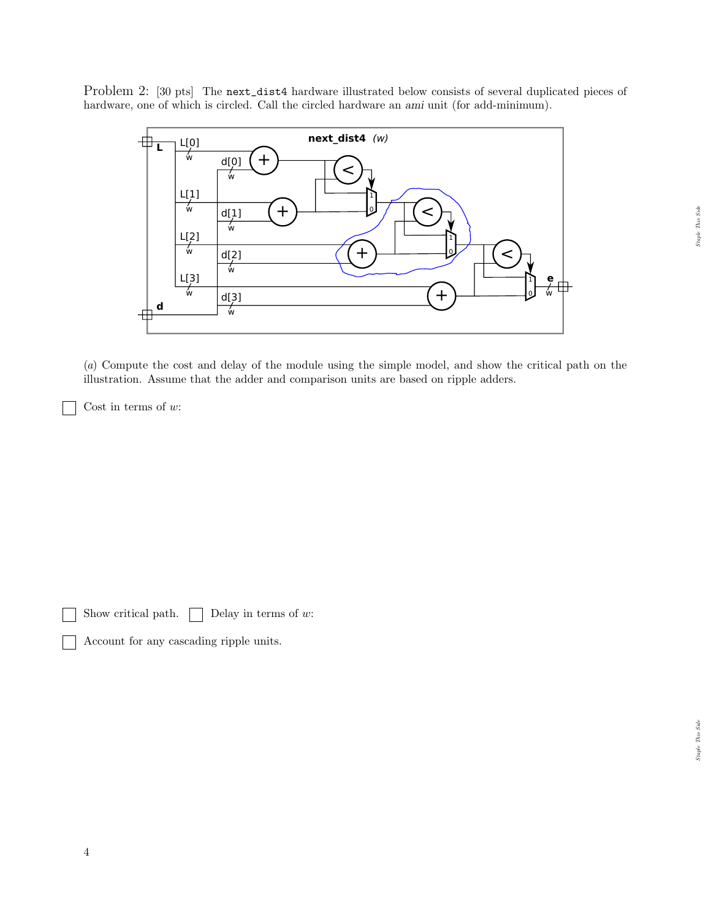Problem 2: [30 pts] The next\_dist4 hardware illustrated below consists of several duplicated pieces of hardware, one of which is circled. Call the circled hardware an ami unit (for add-minimum).



(a) Compute the cost and delay of the module using the simple model, and show the critical path on the illustration. Assume that the adder and comparison units are based on ripple adders.

Cost in terms of  $w$ :

Show critical path.  $\Box$  Delay in terms of w:

Account for any cascading ripple units.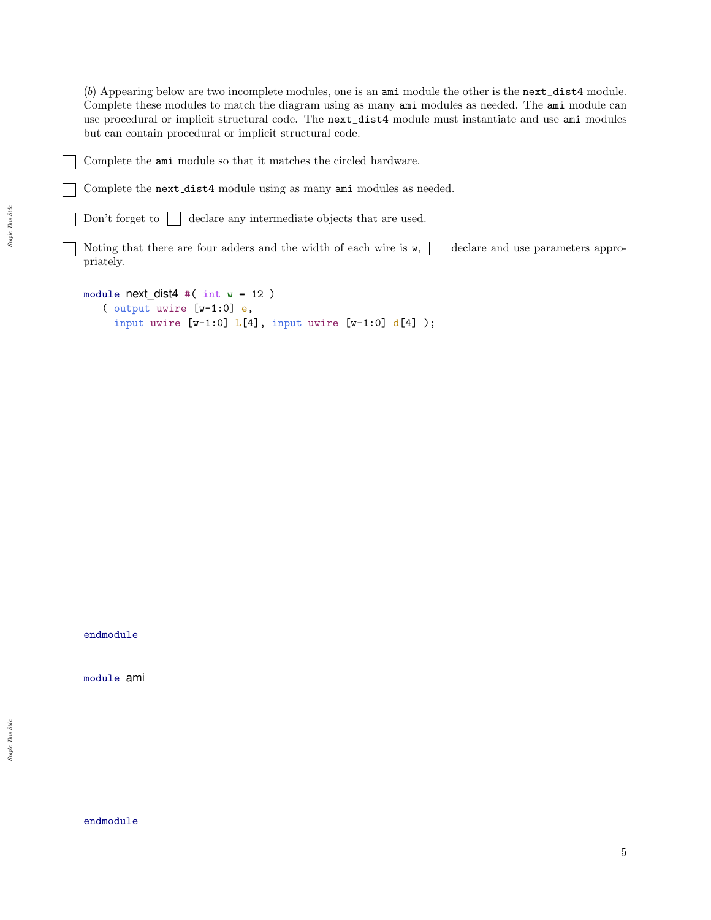(b) Appearing below are two incomplete modules, one is an ami module the other is the next\_dist4 module. Complete these modules to match the diagram using as many ami modules as needed. The ami module can use procedural or implicit structural code. The next\_dist4 module must instantiate and use ami modules but can contain procedural or implicit structural code.

Complete the next dist4 module using as many ami modules as needed.

Don't forget to  $\Box$  declare any intermediate objects that are used.

Noting that there are four adders and the width of each wire is  $\mathbf{w}$ ,  $\Box$  declare and use parameters appropriately.

```
module next dist4 #( int w = 12 )
   ( output uwire [w-1:0] e,
     input uwire [v-1:0] L[4], input uwire [v-1:0] d[4]);
```
endmodule

module ami

endmodule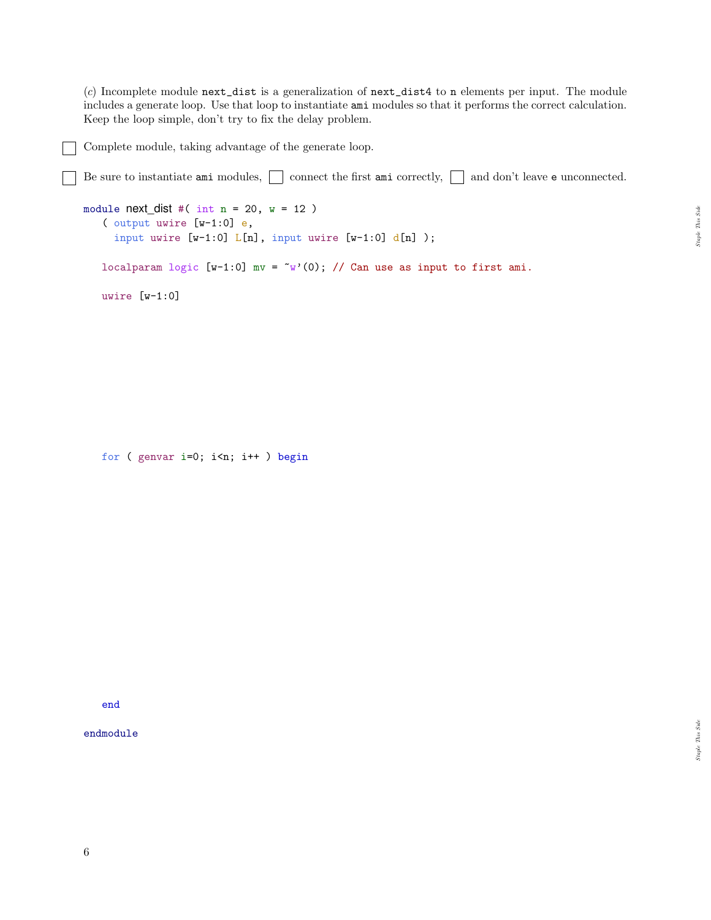$(c)$  Incomplete module next\_dist is a generalization of next\_dist4 to n elements per input. The module includes a generate loop. Use that loop to instantiate ami modules so that it performs the correct calculation. Keep the loop simple, don't try to fix the delay problem.

Complete module, taking advantage of the generate loop.

Be sure to instantiate ami modules,  $\Box$  connect the first ami correctly,  $\Box$  and don't leave e unconnected.

```
module next\_dist #( int n = 20, w = 12 )
   ( output uwire [w-1:0] e,
     input uwire [w-1:0] L[n], input uwire [w-1:0] d[n]);
   localparam logic [w-1:0] mv = \tilde{w}'(0); // Can use as input to first ami.
   uwire [w-1:0]
```
for ( genvar i=0; i<n; i++ ) begin

end

endmodule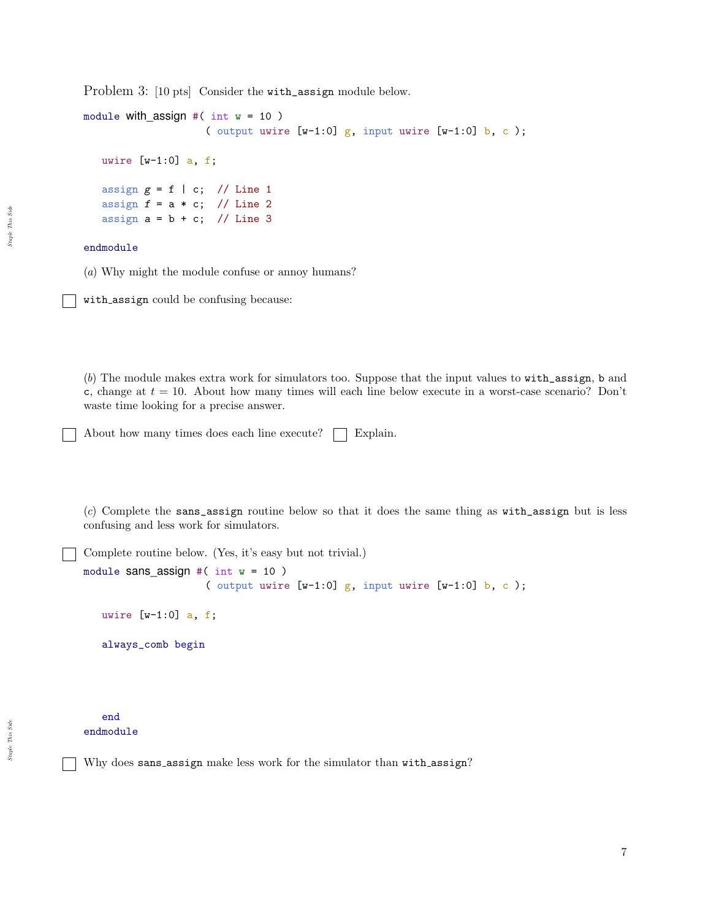Problem 3: [10 pts] Consider the with\_assign module below.

```
module with assign #( int w = 10 )
                    ( output uwire [v-1:0] g, input uwire [v-1:0] b, c);
  uwire [v-1:0] a, f;
   assign g = f \mid c; // Line 1
   assign f = a * c; // Line 2
   assign a = b + c; // Line 3
```
## endmodule

(a) Why might the module confuse or annoy humans?

with assign could be confusing because:

(b) The module makes extra work for simulators too. Suppose that the input values to with\_assign, b and c, change at  $t = 10$ . About how many times will each line below execute in a worst-case scenario? Don't waste time looking for a precise answer.

About how many times does each line execute?  $\Box$  Explain.

(c) Complete the sans\_assign routine below so that it does the same thing as with\_assign but is less confusing and less work for simulators.

Complete routine below. (Yes, it's easy but not trivial.)

```
module sans_assign #( int w = 10 )
                    ( output uwire [w-1:0] g, input uwire [w-1:0] b, c);
  uwire [w-1:0] a, f;
   always_comb begin
```
end endmodule

Why does sans\_assign make less work for the simulator than with\_assign?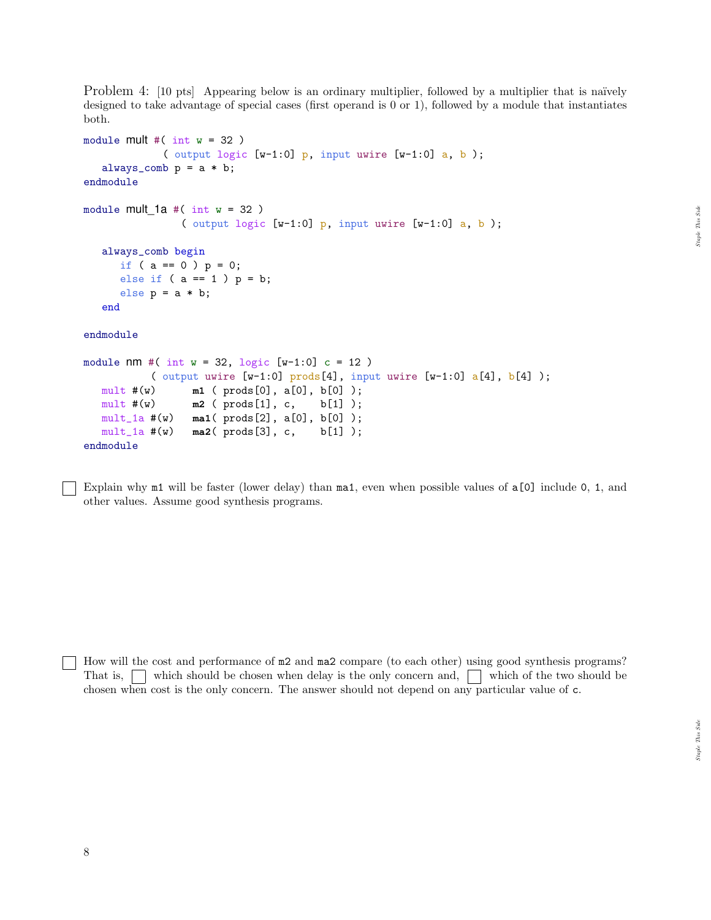Problem 4: [10 pts] Appearing below is an ordinary multiplier, followed by a multiplier that is naïvely designed to take advantage of special cases (first operand is 0 or 1), followed by a module that instantiates both.

```
module mult \#( int w = 32 )
            ( output logic [w-1:0] p, input uwire [w-1:0] a, b);
   always_comb p = a * b;
endmodule
module mult 1a \#( int w = 32 )( output logic [w-1:0] p, input uwire [w-1:0] a, b);
  always_comb begin
     if ( a == 0 ) p = 0;
     else if (a == 1) p = b;
     else p = a * b;
  end
endmodule
module nm #( int w = 32, logic [w-1:0] c = 12)
          ( output uwire [w-1:0] prods[4], input uwire [w-1:0] a[4], b[4]);
  mult #(w) m1 ( prods[0], a[0], b[0] );
  mult #(w) m2 ( prods[1], c, b[1] );
  mult_1a #(w) ma1( prods[2], a[0], b[0] );
  mult_1a #(w) ma2( prods[3], c, b[1] );
endmodule
```
Explain why m1 will be faster (lower delay) than ma1, even when possible values of a[0] include 0, 1, and other values. Assume good synthesis programs.

How will the cost and performance of  $m2$  and  $m2$  compare (to each other) using good synthesis programs? That is,  $\Box$  which should be chosen when delay is the only concern and,  $\Box$  which of the two should be chosen when cost is the only concern. The answer should not depend on any particular value of c.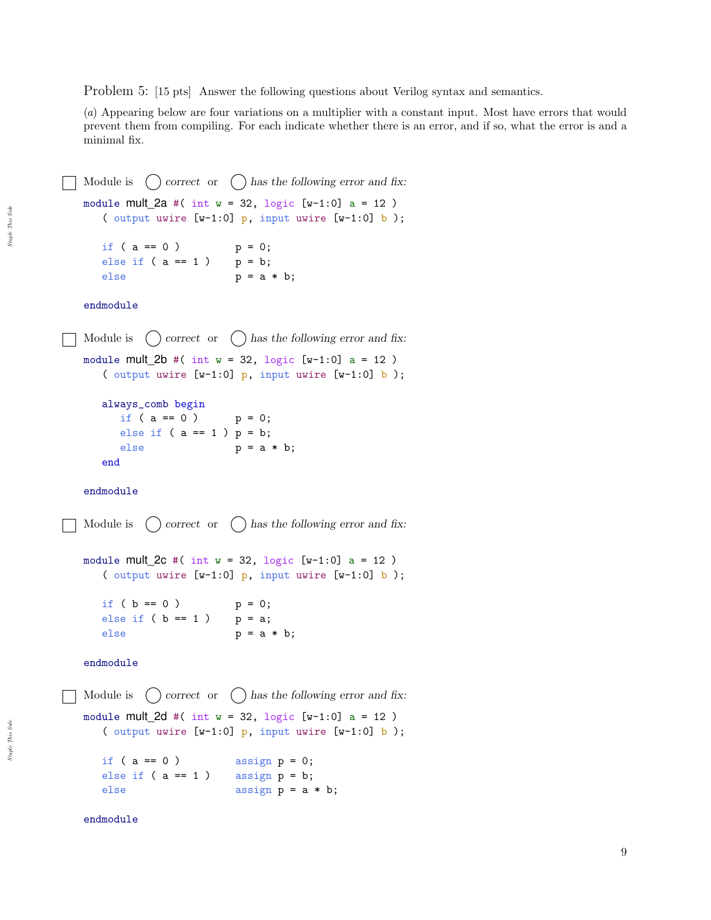Problem 5: [15 pts] Answer the following questions about Verilog syntax and semantics.

(a) Appearing below are four variations on a multiplier with a constant input. Most have errors that would prevent them from compiling. For each indicate whether there is an error, and if so, what the error is and a minimal fix.

Module is  $\bigcap$  correct or  $\bigcap$  has the following error and fix: module mult\_2a #( int  $w = 32$ , logic [w-1:0] a = 12) ( output uwire  $[w-1:0]$  p, input uwire  $[w-1:0]$  b); if (  $a == 0$  )  $p = 0;$ else if  $(a == 1)$   $p = b;$ else  $p = a * b;$ endmodule Module is  $\bigcap$  correct or  $\bigcap$  has the following error and fix: module mult  $2b \#( int w = 32, logic [w-1:0] a = 12 )$ ( output uwire  $[w-1:0]$  p, input uwire  $[w-1:0]$  b); always\_comb begin if  $(a == 0)$   $p = 0;$ else if  $(a == 1) p = b;$ else  $p = a * b;$ end endmodule Module is  $\bigcirc$  correct or  $\bigcirc$  has the following error and fix: module mult  $2c \#( int w = 32, logic [w-1:0] a = 12 )$ ( output uwire  $[w-1:0]$  p, input uwire  $[w-1:0]$  b); if (  $b == 0$  )  $p = 0;$ else if ( $b == 1$ )  $p = a;$ else  $p = a * b;$ endmodule Module is  $\bigcap$  correct or  $\bigcap$  has the following error and fix: module mult  $2d \#( int w = 32, logic [w-1:0] a = 12 )$ ( output uwire  $[w-1:0]$  p, input uwire  $[w-1:0]$  b); if ( $a == 0$ ) assign  $p = 0$ ; else if  $(a == 1)$  assign  $p = b$ ; else assign p = a \* b;

endmodule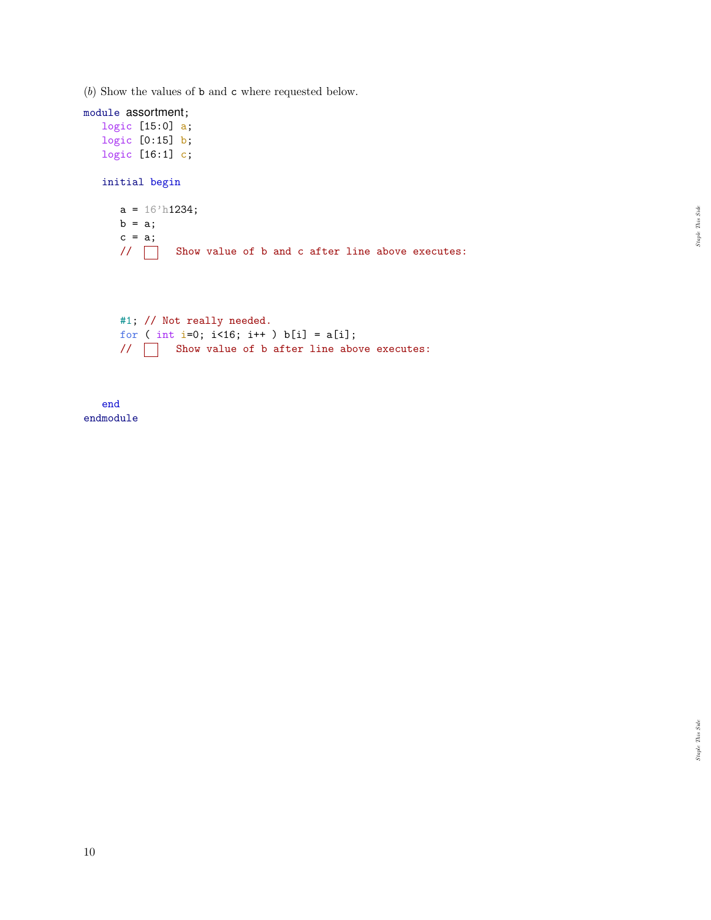(b) Show the values of b and c where requested below.

module assortment; logic [15:0] a; logic [0:15] b; logic [16:1] c; initial begin  $a = 16$ 'h1234;  $b = a;$  $c = a;$ // Show value of b and c after line above executes: #1; // Not really needed. for ( int i=0;  $i$ <16;  $i$ ++ )  $b[i] = a[i];$ // Show value of b after line above executes:

end endmodule